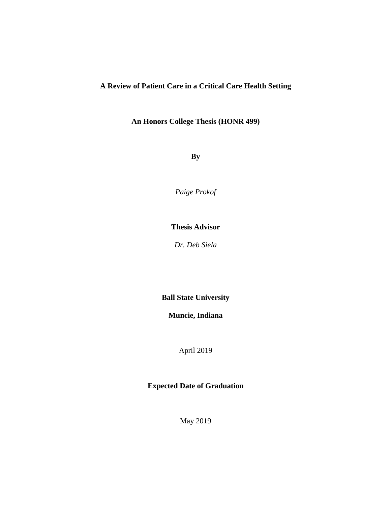## **A Review of Patient Care in a Critical Care Health Setting**

**An Honors College Thesis (HONR 499)**

**By**

*Paige Prokof*

## **Thesis Advisor**

*Dr. Deb Siela*

**Ball State University**

**Muncie, Indiana**

April 2019

**Expected Date of Graduation** 

May 2019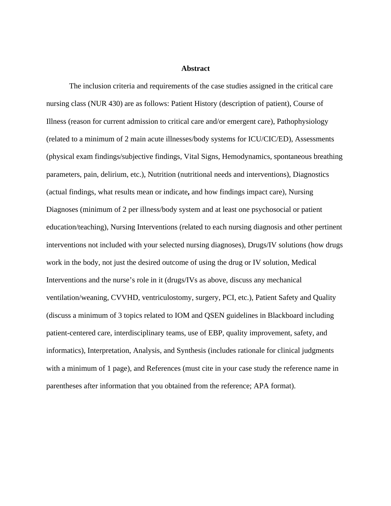## **Abstract**

The inclusion criteria and requirements of the case studies assigned in the critical care nursing class (NUR 430) are as follows: Patient History (description of patient), Course of Illness (reason for current admission to critical care and/or emergent care), Pathophysiology (related to a minimum of 2 main acute illnesses/body systems for ICU/CIC/ED), Assessments (physical exam findings/subjective findings, Vital Signs, Hemodynamics, spontaneous breathing parameters, pain, delirium, etc.), Nutrition (nutritional needs and interventions), Diagnostics (actual findings, what results mean or indicate**,** and how findings impact care), Nursing Diagnoses (minimum of 2 per illness/body system and at least one psychosocial or patient education/teaching), Nursing Interventions (related to each nursing diagnosis and other pertinent interventions not included with your selected nursing diagnoses), Drugs/IV solutions (how drugs work in the body, not just the desired outcome of using the drug or IV solution, Medical Interventions and the nurse's role in it (drugs/IVs as above, discuss any mechanical ventilation/weaning, CVVHD, ventriculostomy, surgery, PCI, etc.), Patient Safety and Quality (discuss a minimum of 3 topics related to IOM and QSEN guidelines in Blackboard including patient-centered care, interdisciplinary teams, use of EBP, quality improvement, safety, and informatics), Interpretation, Analysis, and Synthesis (includes rationale for clinical judgments with a minimum of 1 page), and References (must cite in your case study the reference name in parentheses after information that you obtained from the reference; APA format).